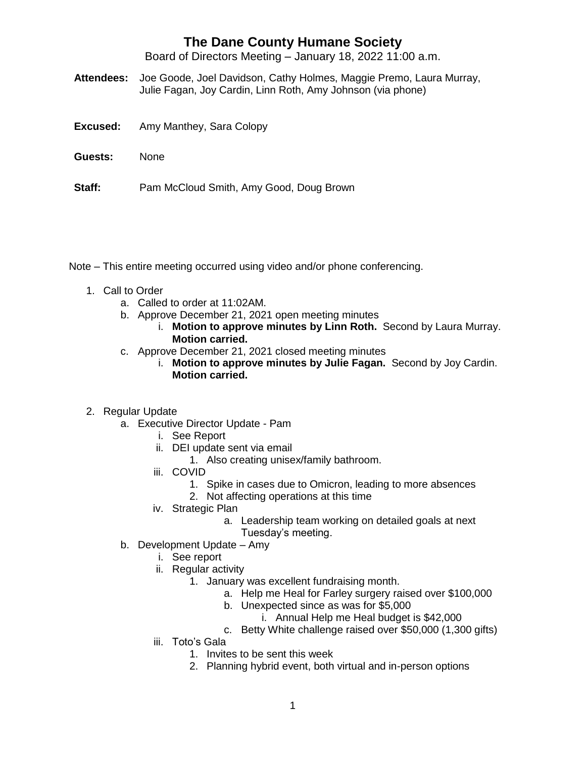Board of Directors Meeting – January 18, 2022 11:00 a.m.

- **Attendees:** Joe Goode, Joel Davidson, Cathy Holmes, Maggie Premo, Laura Murray, Julie Fagan, Joy Cardin, Linn Roth, Amy Johnson (via phone)
- **Excused:** Amy Manthey, Sara Colopy
- **Guests:** None
- **Staff:** Pam McCloud Smith, Amy Good, Doug Brown

Note – This entire meeting occurred using video and/or phone conferencing.

- 1. Call to Order
	- a. Called to order at 11:02AM.
	- b. Approve December 21, 2021 open meeting minutes
		- i. **Motion to approve minutes by Linn Roth.** Second by Laura Murray. **Motion carried.**
	- c. Approve December 21, 2021 closed meeting minutes
		- i. **Motion to approve minutes by Julie Fagan.** Second by Joy Cardin. **Motion carried.**
- 2. Regular Update
	- a. Executive Director Update Pam
		- i. See Report
		- ii. DEI update sent via email
			- 1. Also creating unisex/family bathroom.
		- iii. COVID
			- 1. Spike in cases due to Omicron, leading to more absences
			- 2. Not affecting operations at this time
		- iv. Strategic Plan
			- a. Leadership team working on detailed goals at next Tuesday's meeting.
	- b. Development Update Amy
		- i. See report
		- ii. Regular activity
			- 1. January was excellent fundraising month.
				- a. Help me Heal for Farley surgery raised over \$100,000
				- b. Unexpected since as was for \$5,000
					- i. Annual Help me Heal budget is \$42,000
				- c. Betty White challenge raised over \$50,000 (1,300 gifts)
		- iii. Toto's Gala
			- 1. Invites to be sent this week
			- 2. Planning hybrid event, both virtual and in-person options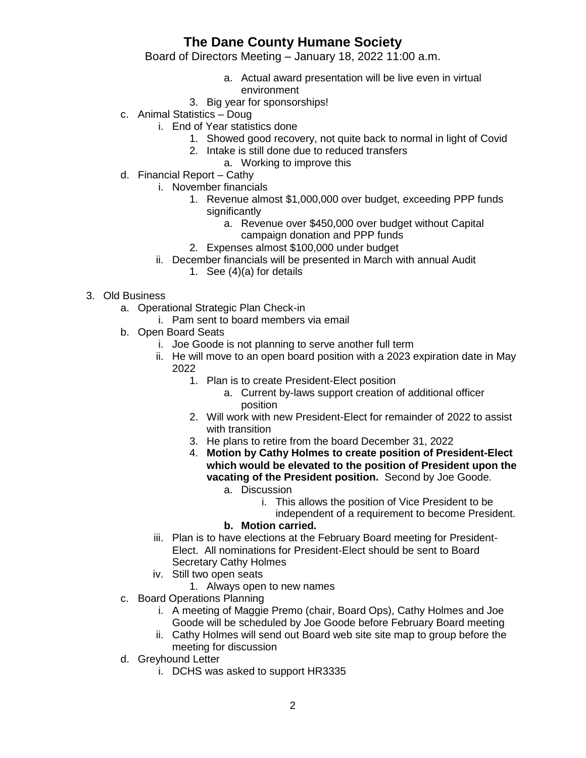Board of Directors Meeting – January 18, 2022 11:00 a.m.

- a. Actual award presentation will be live even in virtual environment
- 3. Big year for sponsorships!
- c. Animal Statistics Doug
	- i. End of Year statistics done
		- 1. Showed good recovery, not quite back to normal in light of Covid
		- 2. Intake is still done due to reduced transfers
			- a. Working to improve this
- d. Financial Report Cathy
	- i. November financials
		- 1. Revenue almost \$1,000,000 over budget, exceeding PPP funds significantly
			- a. Revenue over \$450,000 over budget without Capital campaign donation and PPP funds
		- 2. Expenses almost \$100,000 under budget
	- ii. December financials will be presented in March with annual Audit
		- 1. See (4)(a) for details

#### 3. Old Business

- a. Operational Strategic Plan Check-in
	- i. Pam sent to board members via email
- b. Open Board Seats
	- i. Joe Goode is not planning to serve another full term
	- ii. He will move to an open board position with a 2023 expiration date in May 2022
		- 1. Plan is to create President-Elect position
			- a. Current by-laws support creation of additional officer position
		- 2. Will work with new President-Elect for remainder of 2022 to assist with transition
		- 3. He plans to retire from the board December 31, 2022
		- 4. **Motion by Cathy Holmes to create position of President-Elect which would be elevated to the position of President upon the vacating of the President position.** Second by Joe Goode.
			- a. Discussion

i. This allows the position of Vice President to be independent of a requirement to become President.

- **b. Motion carried.**
- iii. Plan is to have elections at the February Board meeting for President-Elect. All nominations for President-Elect should be sent to Board Secretary Cathy Holmes
- iv. Still two open seats
	- 1. Always open to new names
- c. Board Operations Planning
	- i. A meeting of Maggie Premo (chair, Board Ops), Cathy Holmes and Joe Goode will be scheduled by Joe Goode before February Board meeting
	- ii. Cathy Holmes will send out Board web site site map to group before the meeting for discussion
- d. Greyhound Letter
	- i. DCHS was asked to support HR3335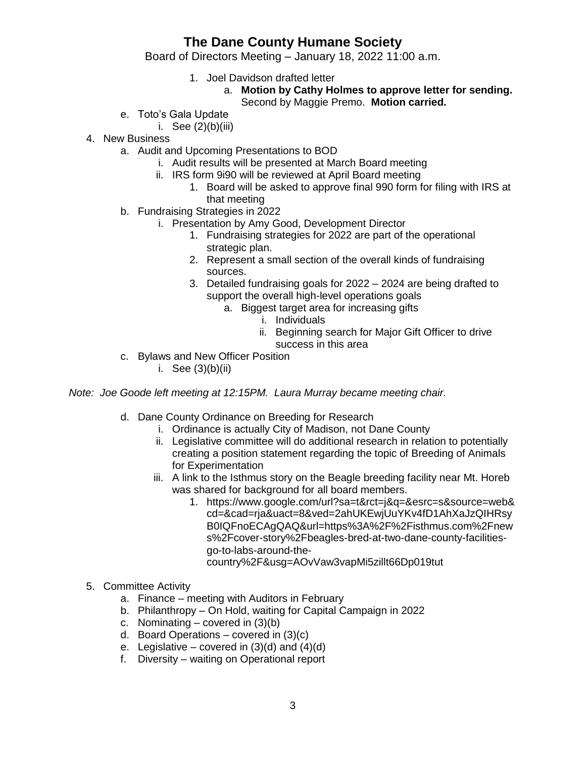Board of Directors Meeting – January 18, 2022 11:00 a.m.

- 1. Joel Davidson drafted letter
	- a. **Motion by Cathy Holmes to approve letter for sending.** Second by Maggie Premo. **Motion carried.**
- e. Toto's Gala Update
	- i. See  $(2)(b)(iii)$
- 4. New Business
	- a. Audit and Upcoming Presentations to BOD
		- i. Audit results will be presented at March Board meeting
		- ii. IRS form 9i90 will be reviewed at April Board meeting
			- 1. Board will be asked to approve final 990 form for filing with IRS at that meeting
	- b. Fundraising Strategies in 2022
		- i. Presentation by Amy Good, Development Director
			- 1. Fundraising strategies for 2022 are part of the operational strategic plan.
			- 2. Represent a small section of the overall kinds of fundraising sources.
			- 3. Detailed fundraising goals for 2022 2024 are being drafted to support the overall high-level operations goals
				- a. Biggest target area for increasing gifts
					- i. Individuals
					- ii. Beginning search for Major Gift Officer to drive success in this area
	- c. Bylaws and New Officer Position
		- i. See  $(3)(b)(ii)$

*Note: Joe Goode left meeting at 12:15PM. Laura Murray became meeting chair.*

- d. Dane County Ordinance on Breeding for Research
	- i. Ordinance is actually City of Madison, not Dane County
	- ii. Legislative committee will do additional research in relation to potentially creating a position statement regarding the topic of Breeding of Animals for Experimentation
	- iii. A link to the Isthmus story on the Beagle breeding facility near Mt. Horeb was shared for background for all board members.
		- 1. https://www.google.com/url?sa=t&rct=j&q=&esrc=s&source=web& cd=&cad=rja&uact=8&ved=2ahUKEwjUuYKv4fD1AhXaJzQIHRsy B0IQFnoECAgQAQ&url=https%3A%2F%2Fisthmus.com%2Fnew s%2Fcover-story%2Fbeagles-bred-at-two-dane-county-facilitiesgo-to-labs-around-thecountry%2F&usg=AOvVaw3vapMi5zillt66Dp019tut
- 5. Committee Activity
	- a. Finance meeting with Auditors in February
	- b. Philanthropy On Hold, waiting for Capital Campaign in 2022
	- c. Nominating covered in  $(3)(b)$
	- d. Board Operations covered in (3)(c)
	- e. Legislative covered in  $(3)(d)$  and  $(4)(d)$
	- f. Diversity waiting on Operational report